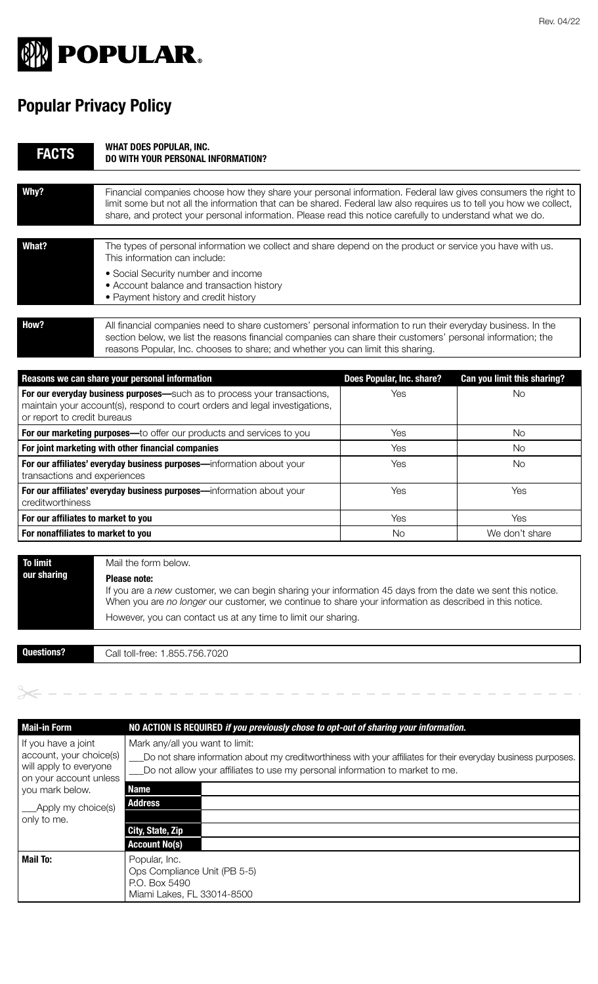

## **Popular Privacy Policy**

| <b>FACTS</b>                                                                                                                                                                           | <b>WHAT DOES POPULAR, INC.</b><br><b>DO WITH YOUR PERSONAL INFORMATION?</b>                                                                                                                                                                                                                                                                       |                           |                             |
|----------------------------------------------------------------------------------------------------------------------------------------------------------------------------------------|---------------------------------------------------------------------------------------------------------------------------------------------------------------------------------------------------------------------------------------------------------------------------------------------------------------------------------------------------|---------------------------|-----------------------------|
| Why?                                                                                                                                                                                   | Financial companies choose how they share your personal information. Federal law gives consumers the right to<br>limit some but not all the information that can be shared. Federal law also requires us to tell you how we collect,<br>share, and protect your personal information. Please read this notice carefully to understand what we do. |                           |                             |
| What?                                                                                                                                                                                  | The types of personal information we collect and share depend on the product or service you have with us.<br>This information can include:<br>• Social Security number and income<br>• Account balance and transaction history<br>• Payment history and credit history                                                                            |                           |                             |
| How?                                                                                                                                                                                   | All financial companies need to share customers' personal information to run their everyday business. In the<br>section below, we list the reasons financial companies can share their customers' personal information; the<br>reasons Popular, Inc. chooses to share; and whether you can limit this sharing.                                    |                           |                             |
|                                                                                                                                                                                        | Reasons we can share your personal information                                                                                                                                                                                                                                                                                                    | Does Popular, Inc. share? | Can you limit this sharing? |
| For our everyday business purposes-such as to process your transactions,<br>maintain your account(s), respond to court orders and legal investigations,<br>or report to credit bureaus |                                                                                                                                                                                                                                                                                                                                                   | Yes                       | <b>No</b>                   |
| For our marketing purposes-to offer our products and services to you                                                                                                                   |                                                                                                                                                                                                                                                                                                                                                   | Yes                       | <b>No</b>                   |
| For joint marketing with other financial companies                                                                                                                                     |                                                                                                                                                                                                                                                                                                                                                   | Yes                       | <b>No</b>                   |
| For our affiliates' everyday business purposes-information about your<br>transactions and experiences                                                                                  |                                                                                                                                                                                                                                                                                                                                                   | Yes                       | <b>No</b>                   |
| For our affiliates' everyday business purposes-information about your<br>creditworthiness                                                                                              |                                                                                                                                                                                                                                                                                                                                                   | Yes                       | Yes                         |
| For our affiliates to market to you                                                                                                                                                    |                                                                                                                                                                                                                                                                                                                                                   | Yes                       | Yes                         |
| For nonaffiliates to market to you                                                                                                                                                     |                                                                                                                                                                                                                                                                                                                                                   | <b>No</b>                 | We don't share              |
| <b>To limit</b><br>our sharing                                                                                                                                                         | Mail the form below.<br><b>Please note:</b><br>If you are a new customer, we can begin sharing your information 45 days from the date we sent this notice.<br>When you are no longer our customer, we continue to share your information as described in this notice.<br>However, you can contact us at any time to limit our sharing.            |                           |                             |
|                                                                                                                                                                                        |                                                                                                                                                                                                                                                                                                                                                   |                           |                             |
| <b>Questions?</b>                                                                                                                                                                      | Call toll-free: 1.855.756.7020                                                                                                                                                                                                                                                                                                                    |                           |                             |

**Mail-in Form NO ACTION IS REQUIRED** *if you previously chose to opt-out of sharing your information.* If you have a joint account, your choice(s) will apply to everyone on your account unless you mark below. Apply my choice(s) only to me. Mark any/all you want to limit: \_\_\_Do not share information about my creditworthiness with your affiliates for their everyday business purposes. \_\_\_Do not allow your affiliates to use my personal information to market to me. **Mail To:** Popular, Inc. Ops Compliance Unit (PB 5-5) P.O. Box 5490 Miami Lakes, FL 33014-8500 **Name Address City, State, Zip Account No(s)**